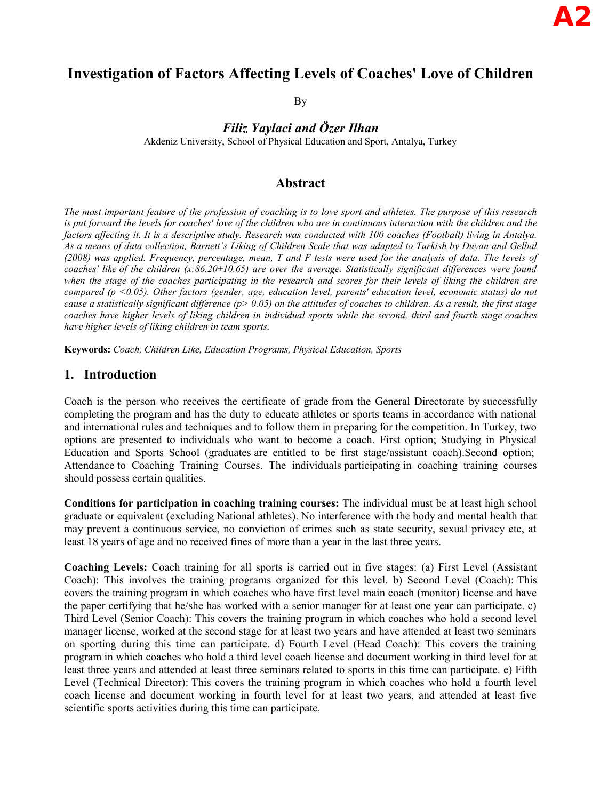# **Investigation of Factors Affecting Levels of Coaches' Love of Children**

By

*Filiz Yaylaci and Özer Ilhan*

Akdeniz University, School of Physical Education and Sport, Antalya, Turkey

### **Abstract**

*The most important feature of the profession of coaching is to love sport and athletes. The purpose of this research is put forward the levels for coaches' love of the children who are in continuous interaction with the children and the factors affecting it. It is a descriptive study. Research was conducted with 100 coaches (Football) living in Antalya. As a means of data collection, Barnett's Liking of Children Scale that was adapted to Turkish by Duyan and Gelbal (2008) was applied. Frequency, percentage, mean, T and F tests were used for the analysis of data. The levels of coaches' like of the children (x:86.20±10.65) are over the average. Statistically significant differences were found*  when the stage of the coaches participating in the research and scores for their levels of liking the children are *compared (p <0.05). Other factors (gender, age, education level, parents' education level, economic status) do not cause a statistically significant difference (p> 0.05) on the attitudes of coaches to children. As a result, the first stage*  coaches have higher levels of liking children in individual sports while the second, third and fourth stage coaches *have higher levels of liking children in team sports.* 

**Keywords:** *Coach, Children Like, Education Programs, Physical Education, Sports*

### **1. Introduction**

Coach is the person who receives the certificate of grade from the General Directorate by successfully completing the program and has the duty to educate athletes or sports teams in accordance with national and international rules and techniques and to follow them in preparing for the competition. In Turkey, two options are presented to individuals who want to become a coach. First option; Studying in Physical Education and Sports School (graduates are entitled to be first stage/assistant coach).Second option; Attendance to Coaching Training Courses. The individuals participating in coaching training courses should possess certain qualities.

**Conditions for participation in coaching training courses:** The individual must be at least high school graduate or equivalent (excluding National athletes). No interference with the body and mental health that may prevent a continuous service, no conviction of crimes such as state security, sexual privacy etc, at least 18 years of age and no received fines of more than a year in the last three years.

**Coaching Levels:** Coach training for all sports is carried out in five stages: (a) First Level (Assistant Coach): This involves the training programs organized for this level. b) Second Level (Coach): This covers the training program in which coaches who have first level main coach (monitor) license and have the paper certifying that he/she has worked with a senior manager for at least one year can participate. c) Third Level (Senior Coach): This covers the training program in which coaches who hold a second level manager license, worked at the second stage for at least two years and have attended at least two seminars on sporting during this time can participate. d) Fourth Level (Head Coach): This covers the training program in which coaches who hold a third level coach license and document working in third level for at least three years and attended at least three seminars related to sports in this time can participate. e) Fifth Level (Technical Director): This covers the training program in which coaches who hold a fourth level coach license and document working in fourth level for at least two years, and attended at least five scientific sports activities during this time can participate.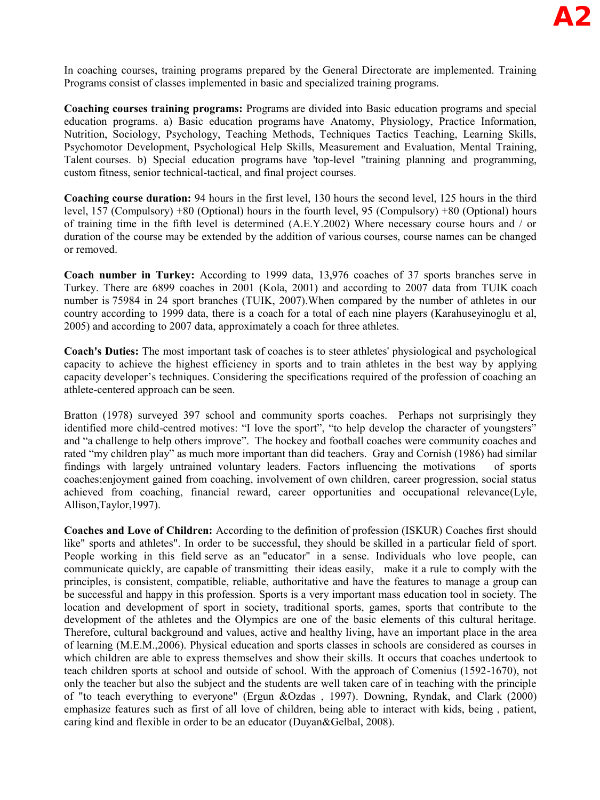In coaching courses, training programs prepared by the General Directorate are implemented. Training Programs consist of classes implemented in basic and specialized training programs.

**Coaching courses training programs:** Programs are divided into Basic education programs and special education programs. a) Basic education programs have Anatomy, Physiology, Practice Information, Nutrition, Sociology, Psychology, Teaching Methods, Techniques Tactics Teaching, Learning Skills, Psychomotor Development, Psychological Help Skills, Measurement and Evaluation, Mental Training, Talent courses. b) Special education programs have 'top-level "training planning and programming, custom fitness, senior technical-tactical, and final project courses.

**Coaching course duration:** 94 hours in the first level, 130 hours the second level, 125 hours in the third level, 157 (Compulsory) +80 (Optional) hours in the fourth level, 95 (Compulsory) +80 (Optional) hours of training time in the fifth level is determined (A.E.Y.2002) Where necessary course hours and / or duration of the course may be extended by the addition of various courses, course names can be changed or removed.

**Coach number in Turkey:** According to 1999 data, 13,976 coaches of 37 sports branches serve in Turkey. There are 6899 coaches in 2001 (Kola, 2001) and according to 2007 data from TUIK coach number is 75984 in 24 sport branches (TUIK, 2007).When compared by the number of athletes in our country according to 1999 data, there is a coach for a total of each nine players (Karahuseyinoglu et al, 2005) and according to 2007 data, approximately a coach for three athletes.

**Coach's Duties:** The most important task of coaches is to steer athletes' physiological and psychological capacity to achieve the highest efficiency in sports and to train athletes in the best way by applying capacity developer's techniques. Considering the specifications required of the profession of coaching an athlete-centered approach can be seen.

Bratton (1978) surveyed 397 school and community sports coaches. Perhaps not surprisingly they identified more child-centred motives: "I love the sport", "to help develop the character of youngsters" and "a challenge to help others improve". The hockey and football coaches were community coaches and rated "my children play" as much more important than did teachers. Gray and Cornish (1986) had similar findings with largely untrained voluntary leaders. Factors influencing the motivations of sports coaches;enjoyment gained from coaching, involvement of own children, career progression, social status achieved from coaching, financial reward, career opportunities and occupational relevance(Lyle, Allison,Taylor,1997).

**Coaches and Love of Children:** According to the definition of profession (ISKUR) Coaches first should like" sports and athletes". In order to be successful, they should be skilled in a particular field of sport. People working in this field serve as an "educator" in a sense. Individuals who love people, can communicate quickly, are capable of transmitting their ideas easily, make it a rule to comply with the principles, is consistent, compatible, reliable, authoritative and have the features to manage a group can be successful and happy in this profession. Sports is a very important mass education tool in society. The location and development of sport in society, traditional sports, games, sports that contribute to the development of the athletes and the Olympics are one of the basic elements of this cultural heritage. Therefore, cultural background and values, active and healthy living, have an important place in the area of learning (M.E.M.,2006). Physical education and sports classes in schools are considered as courses in which children are able to express themselves and show their skills. It occurs that coaches undertook to teach children sports at school and outside of school. With the approach of Comenius (1592-1670), not only the teacher but also the subject and the students are well taken care of in teaching with the principle of "to teach everything to everyone" (Ergun &Ozdas , 1997). Downing, Ryndak, and Clark (2000) emphasize features such as first of all love of children, being able to interact with kids, being , patient, caring kind and flexible in order to be an educator (Duyan&Gelbal, 2008).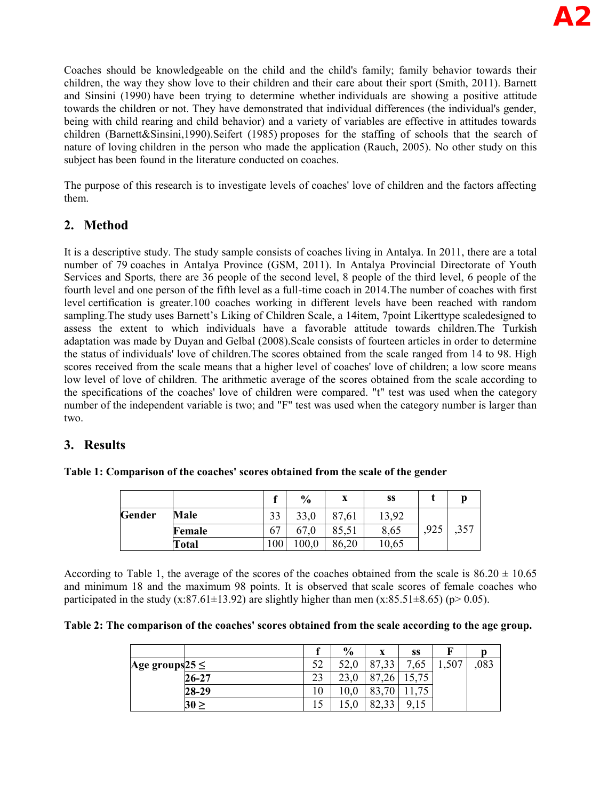Coaches should be knowledgeable on the child and the child's family; family behavior towards their children, the way they show love to their children and their care about their sport (Smith, 2011). Barnett and Sinsini (1990) have been trying to determine whether individuals are showing a positive attitude towards the children or not. They have demonstrated that individual differences (the individual's gender, being with child rearing and child behavior) and a variety of variables are effective in attitudes towards children (Barnett&Sinsini,1990).Seifert (1985) proposes for the staffing of schools that the search of nature of loving children in the person who made the application (Rauch, 2005). No other study on this subject has been found in the literature conducted on coaches.

The purpose of this research is to investigate levels of coaches' love of children and the factors affecting them.

# **2. Method**

It is a descriptive study. The study sample consists of coaches living in Antalya. In 2011, there are a total number of 79 coaches in Antalya Province (GSM, 2011). In Antalya Provincial Directorate of Youth Services and Sports, there are 36 people of the second level, 8 people of the third level, 6 people of the fourth level and one person of the fifth level as a full-time coach in 2014.The number of coaches with first level certification is greater.100 coaches working in different levels have been reached with random sampling.The study uses Barnett's Liking of Children Scale, a 14item, 7point Likerttype scaledesigned to assess the extent to which individuals have a favorable attitude towards children.The Turkish adaptation was made by Duyan and Gelbal (2008).Scale consists of fourteen articles in order to determine the status of individuals' love of children.The scores obtained from the scale ranged from 14 to 98. High scores received from the scale means that a higher level of coaches' love of children; a low score means low level of love of children. The arithmetic average of the scores obtained from the scale according to the specifications of the coaches' love of children were compared. "t" test was used when the category number of the independent variable is two; and "F" test was used when the category number is larger than two.

# **3. Results**

| Table 1: Comparison of the coaches' scores obtained from the scale of the gender |  |  |
|----------------------------------------------------------------------------------|--|--|
|----------------------------------------------------------------------------------|--|--|

|        |        | c             | $\frac{6}{9}$ | X     | SS    |      |      |
|--------|--------|---------------|---------------|-------|-------|------|------|
| Gender | Male   | 33            | 33,0          | 87,61 | 13,92 |      |      |
|        | Female | ∼−<br>67      | 67.0          | 85,51 | 8,65  | .925 | ,357 |
|        | Total  | $100^{\circ}$ | 0.001         | 86,20 | 10.65 |      |      |

According to Table 1, the average of the scores of the coaches obtained from the scale is  $86.20 \pm 10.65$ and minimum 18 and the maximum 98 points. It is observed that scale scores of female coaches who participated in the study (x:87.61±13.92) are slightly higher than men (x:85.51±8.65) (p> 0.05).

|  | Table 2: The comparison of the coaches' scores obtained from the scale according to the age group. |
|--|----------------------------------------------------------------------------------------------------|
|--|----------------------------------------------------------------------------------------------------|

|                      |           |          | $\frac{6}{9}$ | X                     | SS   |       |     |
|----------------------|-----------|----------|---------------|-----------------------|------|-------|-----|
| Age groups $25 \leq$ |           | ເາ       |               | O <sub>7</sub><br>.33 | ',65 | 1,507 | 083 |
|                      | 26-27     | າາ<br>د، |               | 87<br>26              | .75  |       |     |
|                      | 28-29     | 10       | 1 V.V         | 70                    |      |       |     |
|                      | $30 \geq$ | 15       |               | 82,33                 | Q    |       |     |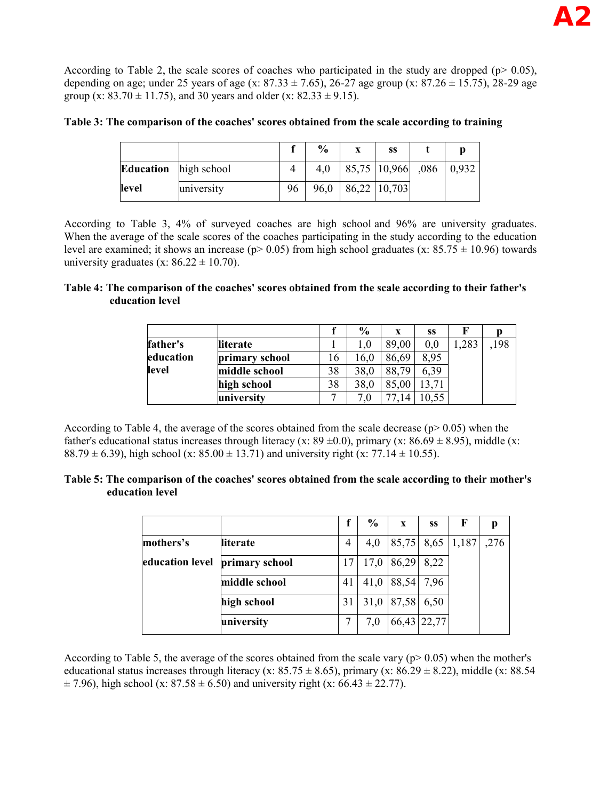According to Table 2, the scale scores of coaches who participated in the study are dropped ( $p$   $> 0.05$ ), depending on age; under 25 years of age (x: 87.33  $\pm$  7.65), 26-27 age group (x: 87.26  $\pm$  15.75), 28-29 age group (x:  $83.70 \pm 11.75$ ), and 30 years and older (x:  $82.33 \pm 9.15$ ).

|  |  |  |  |  | Table 3: The comparison of the coaches' scores obtained from the scale according to training |
|--|--|--|--|--|----------------------------------------------------------------------------------------------|
|  |  |  |  |  |                                                                                              |

|                  |             |    | $\frac{0}{0}$ | X | SS                     |        |
|------------------|-------------|----|---------------|---|------------------------|--------|
| <b>Education</b> | high school |    | 4.0           |   | 85,75   10,966   0.086 | 10.932 |
| level            | university  | 96 | 96,0          |   | 86,22 10,703           |        |

According to Table 3, 4% of surveyed coaches are high school and 96% are university graduates. When the average of the scale scores of the coaches participating in the study according to the education level are examined; it shows an increase ( $p$  > 0.05) from high school graduates (x:  $85.75 \pm 10.96$ ) towards university graduates (x:  $86.22 \pm 10.70$ ).

#### **Table 4: The comparison of the coaches' scores obtained from the scale according to their father's education level**

|           |                |    | $\frac{6}{9}$ | X     | SS      |      |     |
|-----------|----------------|----|---------------|-------|---------|------|-----|
| father's  | lliterate      |    |               | 89.00 | $0.0\,$ | ,283 | 198 |
| education | primary school | 16 | 16.0          | 86,69 | 8.95    |      |     |
| level     | middle school  | 38 | 38.0          | 88.79 | 6.39    |      |     |
|           | high school    | 38 | 38,0          | 85.00 |         |      |     |
|           | university     |    | 7.0           |       |         |      |     |

According to Table 4, the average of the scores obtained from the scale decrease ( $p$  $> 0.05$ ) when the father's educational status increases through literacy (x:  $89 \pm 0.0$ ), primary (x:  $86.69 \pm 8.95$ ), middle (x: 88.79  $\pm$  6.39), high school (x: 85.00  $\pm$  13.71) and university right (x: 77.14  $\pm$  10.55).

#### **Table 5: The comparison of the coaches' scores obtained from the scale according to their mother's education level**

|                 |                |    | $\frac{6}{9}$ | X          | SS          | F                |      |
|-----------------|----------------|----|---------------|------------|-------------|------------------|------|
| mothers's       | literate       | 4  | 4,0           |            |             | 85,75 8,65 1,187 | ,276 |
| education level | primary school | 17 | 17,0          | 86,29      | 8,22        |                  |      |
|                 | middle school  | 41 | 41,0          | 88,54 7,96 |             |                  |      |
|                 | high school    | 31 | 31,0          | 87,58      | 6,50        |                  |      |
|                 | university     |    | 7,0           |            | 66,43 22,77 |                  |      |

According to Table 5, the average of the scores obtained from the scale vary ( $p$  > 0.05) when the mother's educational status increases through literacy (x: 85.75  $\pm$  8.65), primary (x: 86.29  $\pm$  8.22), middle (x: 88.54  $\pm$  7.96), high school (x: 87.58  $\pm$  6.50) and university right (x: 66.43  $\pm$  22.77).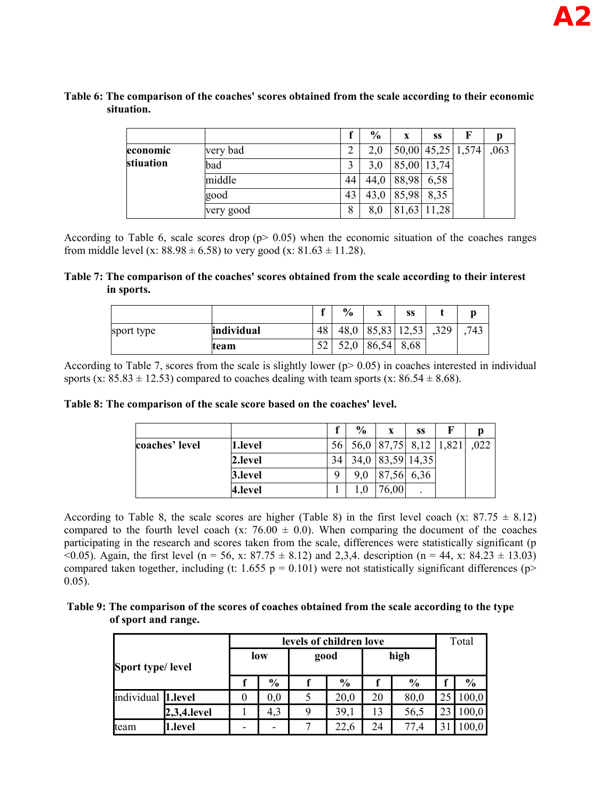#### **Table 6: The comparison of the coaches' scores obtained from the scale according to their economic situation.**

|           |           |              | $\frac{0}{0}$ | X     | SS                | F | р    |
|-----------|-----------|--------------|---------------|-------|-------------------|---|------|
| economic  | very bad  |              | 2,0           |       | 50,00 45,25 1,574 |   | ,063 |
| stiuation | bad       |              | 3,0           |       | 85,00 13,74       |   |      |
|           | middle    | 44           | 44.0          | 88,98 | 6,58              |   |      |
|           | good      | 43           | 43,0          | 85,98 | 8,35              |   |      |
|           | very good | $\circ$<br>ð | 8,0           | 81,63 | 11,28             |   |      |

According to Table 6, scale scores drop ( $p > 0.05$ ) when the economic situation of the coaches ranges from middle level (x:  $88.98 \pm 6.58$ ) to very good (x:  $81.63 \pm 11.28$ ).

#### **Table 7: The comparison of the coaches' scores obtained from the scale according to their interest in sports.**

|            |            |     | $\frac{6}{9}$ | $\mathbf{v}$<br>Д | SS          |      | p   |
|------------|------------|-----|---------------|-------------------|-------------|------|-----|
| sport type | individual | 48  | 48,0          |                   | 85,83 12,53 | ,329 | 743 |
|            | team       | - ^ | 52,0          | 86,54             | 8,68        |      |     |

According to Table 7, scores from the scale is slightly lower  $(p>0.05)$  in coaches interested in individual sports (x:  $85.83 \pm 12.53$ ) compared to coaches dealing with team sports (x:  $86.54 \pm 8.68$ ).

### **Table 8: The comparison of the scale score based on the coaches' level.**

|                |         |      | $\frac{0}{0}$ | X                     | SS   | F |      |
|----------------|---------|------|---------------|-----------------------|------|---|------|
| coaches' level | 1.level | 56 I |               | 56,0 87,75 8,12 1,821 |      |   | .022 |
|                | 2.level | 34   | 34,0          | 83,59 14,35           |      |   |      |
|                | 3.level | Q    | 9.0           | 87,56                 | 6,36 |   |      |
|                | 4.level |      |               | 6,00                  |      |   |      |

According to Table 8, the scale scores are higher (Table 8) in the first level coach (x:  $87.75 \pm 8.12$ ) compared to the fourth level coach (x:  $76.00 \pm 0.0$ ). When comparing the document of the coaches participating in the research and scores taken from the scale, differences were statistically significant (p  $(0.05)$ . Again, the first level (n = 56, x: 87.75  $\pm$  8.12) and 2,3,4. description (n = 44, x: 84.23  $\pm$  13.03) compared taken together, including (t: 1.655 p = 0.101) were not statistically significant differences (p> 0.05).

### **Table 9: The comparison of the scores of coaches obtained from the scale according to the type of sport and range.**

|                    |             |     |               | levels of children love |               |    |               |    | Total |
|--------------------|-------------|-----|---------------|-------------------------|---------------|----|---------------|----|-------|
| Sport type/level   |             | low |               | good                    |               |    | high          |    |       |
|                    |             |     | $\frac{0}{0}$ |                         | $\frac{6}{9}$ |    | $\frac{0}{0}$ |    | $\%$  |
| individual 1.level |             | 0   | 0.0           |                         | 20.0          | 20 | 80,0          | 25 | 100,0 |
|                    | 2,3,4.level |     | 4,3           | 9                       | 39,1          | 13 | 56,5          | 23 | 100,0 |
| team               | l.level     |     | -             |                         | 22,6          | 24 | 77.4          | 31 | 0.00  |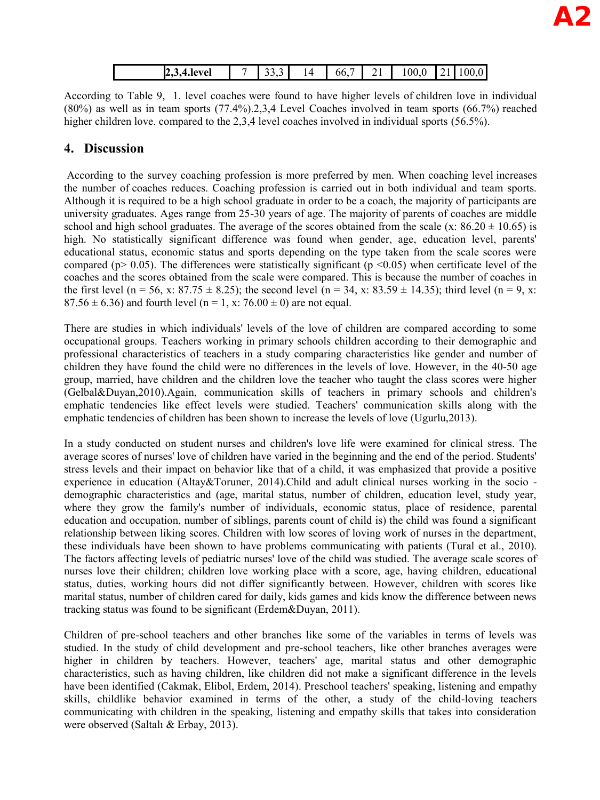| ю<br>evel<br>2,9,4.IC | ۰<br>- - - - - | $\sim$ | 66. | - - | $\sim$<br>100.0 | - - | λC<br>л.<br>◡<br>ິ |
|-----------------------|----------------|--------|-----|-----|-----------------|-----|--------------------|

According to Table 9, 1. level coaches were found to have higher levels of children love in individual (80%) as well as in team sports (77.4%).2,3,4 Level Coaches involved in team sports (66.7%) reached higher children love. compared to the 2,3,4 level coaches involved in individual sports (56.5%).

### **4. Discussion**

 According to the survey coaching profession is more preferred by men. When coaching level increases the number of coaches reduces. Coaching profession is carried out in both individual and team sports. Although it is required to be a high school graduate in order to be a coach, the majority of participants are university graduates. Ages range from 25-30 years of age. The majority of parents of coaches are middle school and high school graduates. The average of the scores obtained from the scale (x:  $86.20 \pm 10.65$ ) is high. No statistically significant difference was found when gender, age, education level, parents' educational status, economic status and sports depending on the type taken from the scale scores were compared ( $p > 0.05$ ). The differences were statistically significant ( $p \le 0.05$ ) when certificate level of the coaches and the scores obtained from the scale were compared. This is because the number of coaches in the first level (n = 56, x: 87.75  $\pm$  8.25); the second level (n = 34, x: 83.59  $\pm$  14.35); third level (n = 9, x: 87.56  $\pm$  6.36) and fourth level (n = 1, x: 76.00  $\pm$  0) are not equal.

There are studies in which individuals' levels of the love of children are compared according to some occupational groups. Teachers working in primary schools children according to their demographic and professional characteristics of teachers in a study comparing characteristics like gender and number of children they have found the child were no differences in the levels of love. However, in the 40-50 age group, married, have children and the children love the teacher who taught the class scores were higher (Gelbal&Duyan,2010).Again, communication skills of teachers in primary schools and children's emphatic tendencies like effect levels were studied. Teachers' communication skills along with the emphatic tendencies of children has been shown to increase the levels of love (Ugurlu,2013).

In a study conducted on student nurses and children's love life were examined for clinical stress. The average scores of nurses' love of children have varied in the beginning and the end of the period. Students' stress levels and their impact on behavior like that of a child, it was emphasized that provide a positive experience in education (Altay&Toruner, 2014).Child and adult clinical nurses working in the socio demographic characteristics and (age, marital status, number of children, education level, study year, where they grow the family's number of individuals, economic status, place of residence, parental education and occupation, number of siblings, parents count of child is) the child was found a significant relationship between liking scores. Children with low scores of loving work of nurses in the department, these individuals have been shown to have problems communicating with patients (Tural et al., 2010). The factors affecting levels of pediatric nurses' love of the child was studied. The average scale scores of nurses love their children; children love working place with a score, age, having children, educational status, duties, working hours did not differ significantly between. However, children with scores like marital status, number of children cared for daily, kids games and kids know the difference between news tracking status was found to be significant (Erdem&Duyan, 2011).

Children of pre-school teachers and other branches like some of the variables in terms of levels was studied. In the study of child development and pre-school teachers, like other branches averages were higher in children by teachers. However, teachers' age, marital status and other demographic characteristics, such as having children, like children did not make a significant difference in the levels have been identified (Cakmak, Elibol, Erdem, 2014). Preschool teachers' speaking, listening and empathy skills, childlike behavior examined in terms of the other, a study of the child-loving teachers communicating with children in the speaking, listening and empathy skills that takes into consideration were observed (Saltalı & Erbay, 2013).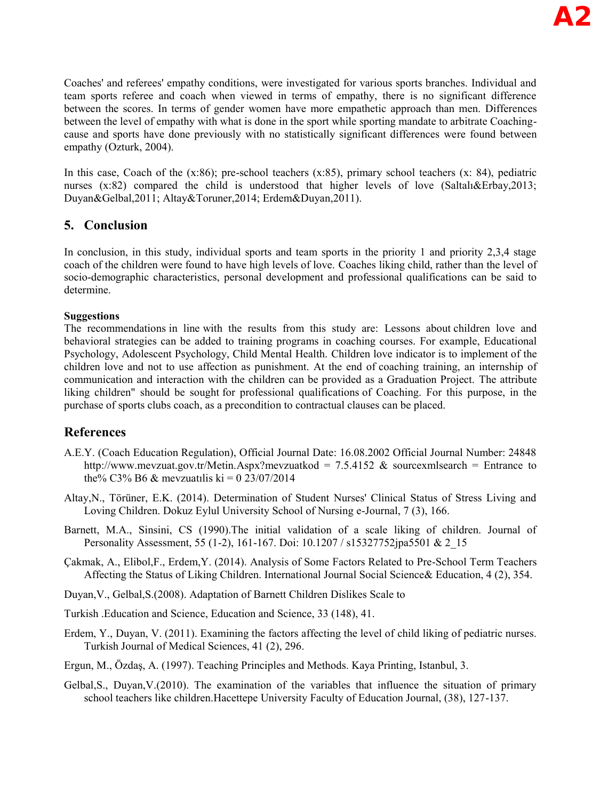Coaches' and referees' empathy conditions, were investigated for various sports branches. Individual and team sports referee and coach when viewed in terms of empathy, there is no significant difference between the scores. In terms of gender women have more empathetic approach than men. Differences between the level of empathy with what is done in the sport while sporting mandate to arbitrate Coachingcause and sports have done previously with no statistically significant differences were found between empathy (Ozturk, 2004).

In this case, Coach of the (x:86); pre-school teachers (x:85), primary school teachers (x: 84), pediatric nurses  $(x:82)$  compared the child is understood that higher levels of love (Saltal $\&$ Erbay,2013; Duyan&Gelbal,2011; Altay&Toruner,2014; Erdem&Duyan,2011).

### **5. Conclusion**

In conclusion, in this study, individual sports and team sports in the priority 1 and priority 2,3,4 stage coach of the children were found to have high levels of love. Coaches liking child, rather than the level of socio-demographic characteristics, personal development and professional qualifications can be said to determine.

### **Suggestions**

The recommendations in line with the results from this study are: Lessons about children love and behavioral strategies can be added to training programs in coaching courses. For example, Educational Psychology, Adolescent Psychology, Child Mental Health. Children love indicator is to implement of the children love and not to use affection as punishment. At the end of coaching training, an internship of communication and interaction with the children can be provided as a Graduation Project. The attribute liking children" should be sought for professional qualifications of Coaching. For this purpose, in the purchase of sports clubs coach, as a precondition to contractual clauses can be placed.

# **References**

- A.E.Y. (Coach Education Regulation), Official Journal Date: 16.08.2002 Official Journal Number: 24848 http://www.mevzuat.gov.tr/Metin.Aspx?mevzuatkod = 7.5.4152 & sourcexmlsearch = Entrance to the% C3% B6 & mevzuatilis ki = 0 23/07/2014
- Altay,N., Törüner, E.K. (2014). Determination of Student Nurses' Clinical Status of Stress Living and Loving Children. Dokuz Eylul University School of Nursing e-Journal, 7 (3), 166.
- Barnett, M.A., Sinsini, CS (1990).The initial validation of a scale liking of children. Journal of Personality Assessment, 55 (1-2), 161-167. Doi: 10.1207 / s15327752jpa5501 & 2\_15
- Çakmak, A., Elibol,F., Erdem,Y. (2014). Analysis of Some Factors Related to Pre-School Term Teachers Affecting the Status of Liking Children. International Journal Social Science& Education, 4 (2), 354.
- Duyan,V., Gelbal,S.(2008). Adaptation of Barnett Children Dislikes Scale to
- Turkish .Education and Science, Education and Science, 33 (148), 41.
- Erdem, Y., Duyan, V. (2011). Examining the factors affecting the level of child liking of pediatric nurses. Turkish Journal of Medical Sciences, 41 (2), 296.
- Ergun, M., Özdaş, A. (1997). Teaching Principles and Methods. Kaya Printing, Istanbul, 3.
- Gelbal,S., Duyan,V.(2010). The examination of the variables that influence the situation of primary school teachers like children.Hacettepe University Faculty of Education Journal, (38), 127-137.